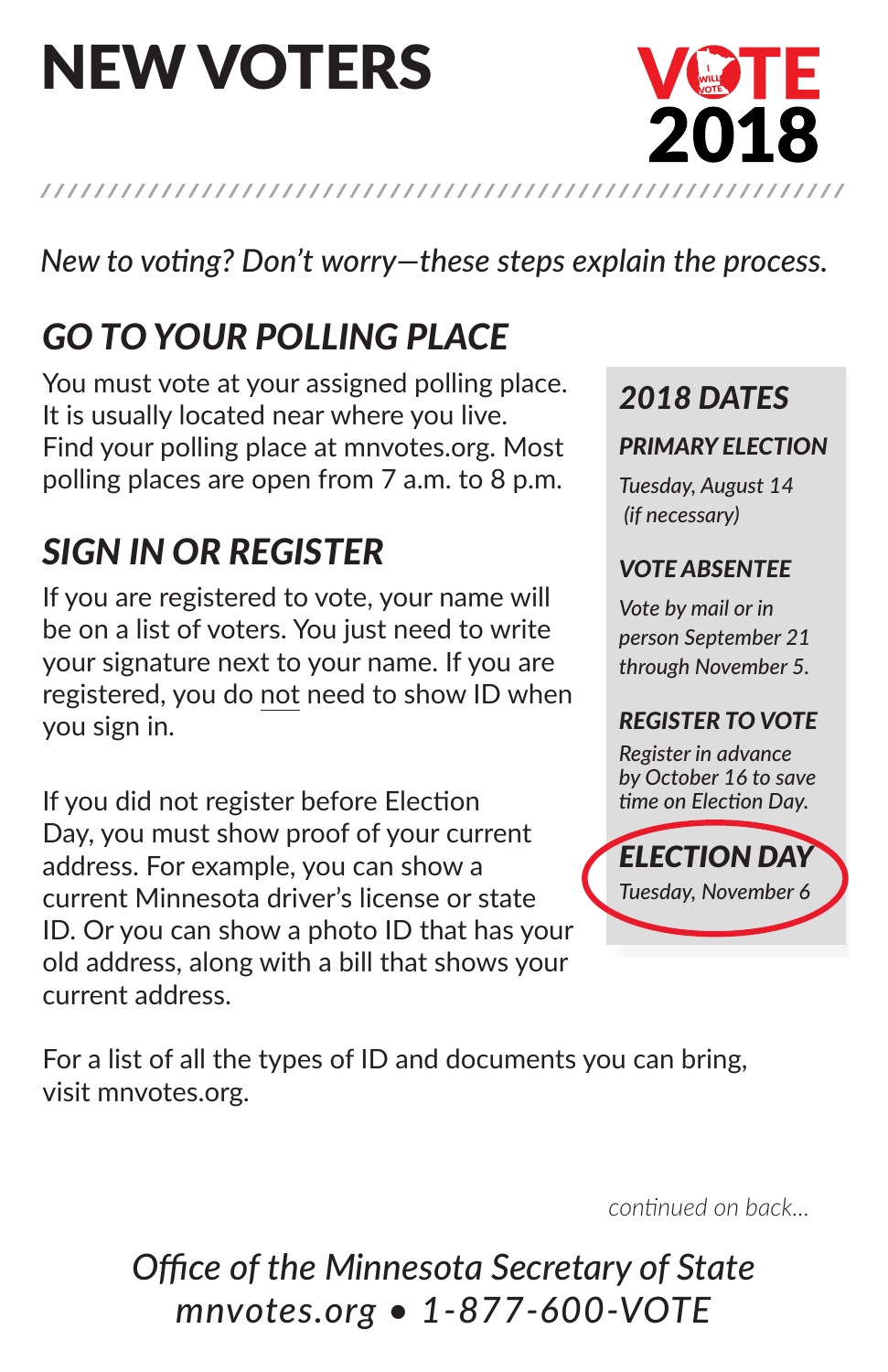# new voters



### *Go to your polling place*

You must vote at your assigned polling place. It is usually located near where you live. Find your polling place at mnvotes.org. Most polling places are open from 7 a.m. to 8 p.m.

### *Sign in or register*

If you are registered to vote, your name will be on a list of voters. You just need to write your signature next to your name. If you are registered, you do not need to show ID when you sign in.

If you did not register before Election Day, you must show proof of your current address. For example, you can show a current Minnesota driver's license or state ID. Or you can show a photo ID that has your old address, along with a bill that shows your current address.

*2018 DateS*

#### *primary election*

VØTE

2018

*Tuesday, August 14 (if necessary)*

#### *Vote abSentee*

*Vote by mail or in person September 21 through November 5.*

### *reGiSter to Vote*

*Register in advance by October 16 to save*  time on Election Day.



For a list of all the types of ID and documents you can bring, visit mnvotes.org.

*continued on back...*

*Office of the Minnesota Secretary of State mnvotes.org • 1-877-600-VOTE*